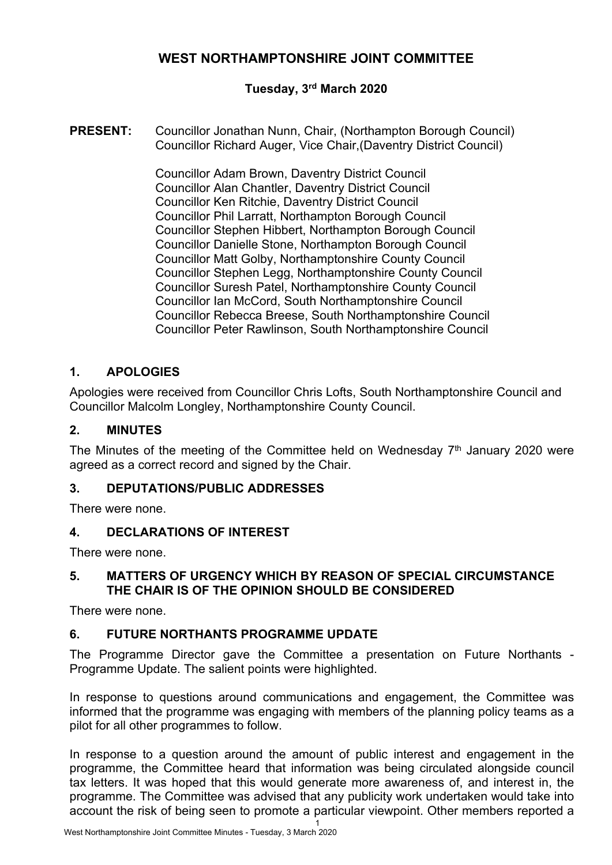# **WEST NORTHAMPTONSHIRE JOINT COMMITTEE**

## **Tuesday, 3 rd March 2020**

**PRESENT:** Councillor Jonathan Nunn, Chair, (Northampton Borough Council) Councillor Richard Auger, Vice Chair,(Daventry District Council)

> Councillor Adam Brown, Daventry District Council Councillor Alan Chantler, Daventry District Council Councillor Ken Ritchie, Daventry District Council Councillor Phil Larratt, Northampton Borough Council Councillor Stephen Hibbert, Northampton Borough Council Councillor Danielle Stone, Northampton Borough Council Councillor Matt Golby, Northamptonshire County Council Councillor Stephen Legg, Northamptonshire County Council Councillor Suresh Patel, Northamptonshire County Council Councillor Ian McCord, South Northamptonshire Council Councillor Rebecca Breese, South Northamptonshire Council Councillor Peter Rawlinson, South Northamptonshire Council

## **1. APOLOGIES**

Apologies were received from Councillor Chris Lofts, South Northamptonshire Council and Councillor Malcolm Longley, Northamptonshire County Council.

### **2. MINUTES**

The Minutes of the meeting of the Committee held on Wednesday 7<sup>th</sup> January 2020 were agreed as a correct record and signed by the Chair.

### **3. DEPUTATIONS/PUBLIC ADDRESSES**

There were none.

### **4. DECLARATIONS OF INTEREST**

There were none.

### **5. MATTERS OF URGENCY WHICH BY REASON OF SPECIAL CIRCUMSTANCE THE CHAIR IS OF THE OPINION SHOULD BE CONSIDERED**

There were none.

### **6. FUTURE NORTHANTS PROGRAMME UPDATE**

The Programme Director gave the Committee a presentation on Future Northants - Programme Update. The salient points were highlighted.

In response to questions around communications and engagement, the Committee was informed that the programme was engaging with members of the planning policy teams as a pilot for all other programmes to follow.

In response to a question around the amount of public interest and engagement in the programme, the Committee heard that information was being circulated alongside council tax letters. It was hoped that this would generate more awareness of, and interest in, the programme. The Committee was advised that any publicity work undertaken would take into account the risk of being seen to promote a particular viewpoint. Other members reported a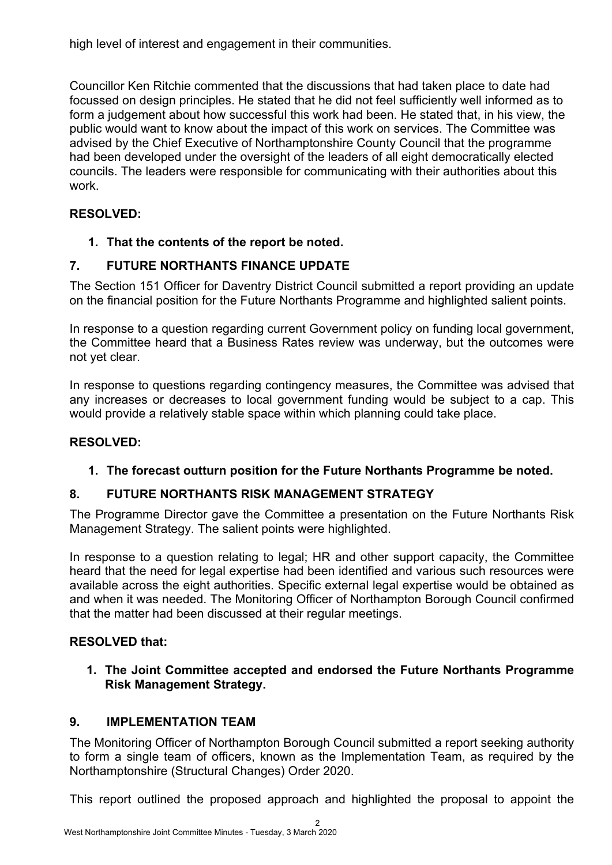high level of interest and engagement in their communities.

Councillor Ken Ritchie commented that the discussions that had taken place to date had focussed on design principles. He stated that he did not feel sufficiently well informed as to form a judgement about how successful this work had been. He stated that, in his view, the public would want to know about the impact of this work on services. The Committee was advised by the Chief Executive of Northamptonshire County Council that the programme had been developed under the oversight of the leaders of all eight democratically elected councils. The leaders were responsible for communicating with their authorities about this work.

# **RESOLVED:**

# **1. That the contents of the report be noted.**

# **7. FUTURE NORTHANTS FINANCE UPDATE**

The Section 151 Officer for Daventry District Council submitted a report providing an update on the financial position for the Future Northants Programme and highlighted salient points.

In response to a question regarding current Government policy on funding local government, the Committee heard that a Business Rates review was underway, but the outcomes were not yet clear.

In response to questions regarding contingency measures, the Committee was advised that any increases or decreases to local government funding would be subject to a cap. This would provide a relatively stable space within which planning could take place.

## **RESOLVED:**

# **1. The forecast outturn position for the Future Northants Programme be noted.**

# **8. FUTURE NORTHANTS RISK MANAGEMENT STRATEGY**

The Programme Director gave the Committee a presentation on the Future Northants Risk Management Strategy. The salient points were highlighted.

In response to a question relating to legal; HR and other support capacity, the Committee heard that the need for legal expertise had been identified and various such resources were available across the eight authorities. Specific external legal expertise would be obtained as and when it was needed. The Monitoring Officer of Northampton Borough Council confirmed that the matter had been discussed at their regular meetings.

## **RESOLVED that:**

**1. The Joint Committee accepted and endorsed the Future Northants Programme Risk Management Strategy.**

# **9. IMPLEMENTATION TEAM**

The Monitoring Officer of Northampton Borough Council submitted a report seeking authority to form a single team of officers, known as the Implementation Team, as required by the Northamptonshire (Structural Changes) Order 2020.

This report outlined the proposed approach and highlighted the proposal to appoint the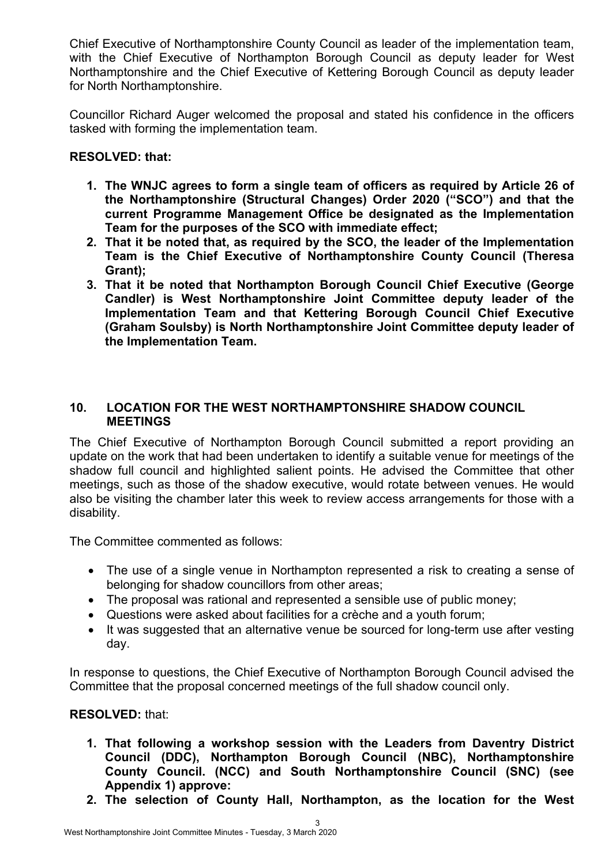Chief Executive of Northamptonshire County Council as leader of the implementation team, with the Chief Executive of Northampton Borough Council as deputy leader for West Northamptonshire and the Chief Executive of Kettering Borough Council as deputy leader for North Northamptonshire.

Councillor Richard Auger welcomed the proposal and stated his confidence in the officers tasked with forming the implementation team.

### **RESOLVED: that:**

- **1. The WNJC agrees to form a single team of officers as required by Article 26 of the Northamptonshire (Structural Changes) Order 2020 ("SCO") and that the current Programme Management Office be designated as the Implementation Team for the purposes of the SCO with immediate effect;**
- **2. That it be noted that, as required by the SCO, the leader of the Implementation Team is the Chief Executive of Northamptonshire County Council (Theresa Grant);**
- **3. That it be noted that Northampton Borough Council Chief Executive (George Candler) is West Northamptonshire Joint Committee deputy leader of the Implementation Team and that Kettering Borough Council Chief Executive (Graham Soulsby) is North Northamptonshire Joint Committee deputy leader of the Implementation Team.**

### **10. LOCATION FOR THE WEST NORTHAMPTONSHIRE SHADOW COUNCIL MEETINGS**

The Chief Executive of Northampton Borough Council submitted a report providing an update on the work that had been undertaken to identify a suitable venue for meetings of the shadow full council and highlighted salient points. He advised the Committee that other meetings, such as those of the shadow executive, would rotate between venues. He would also be visiting the chamber later this week to review access arrangements for those with a disability.

The Committee commented as follows:

- The use of a single venue in Northampton represented a risk to creating a sense of belonging for shadow councillors from other areas;
- The proposal was rational and represented a sensible use of public money;
- Questions were asked about facilities for a crèche and a youth forum;
- It was suggested that an alternative venue be sourced for long-term use after vesting day.

In response to questions, the Chief Executive of Northampton Borough Council advised the Committee that the proposal concerned meetings of the full shadow council only.

### **RESOLVED:** that:

- **1. That following a workshop session with the Leaders from Daventry District Council (DDC), Northampton Borough Council (NBC), Northamptonshire County Council. (NCC) and South Northamptonshire Council (SNC) (see Appendix 1) approve:**
- **2. The selection of County Hall, Northampton, as the location for the West**